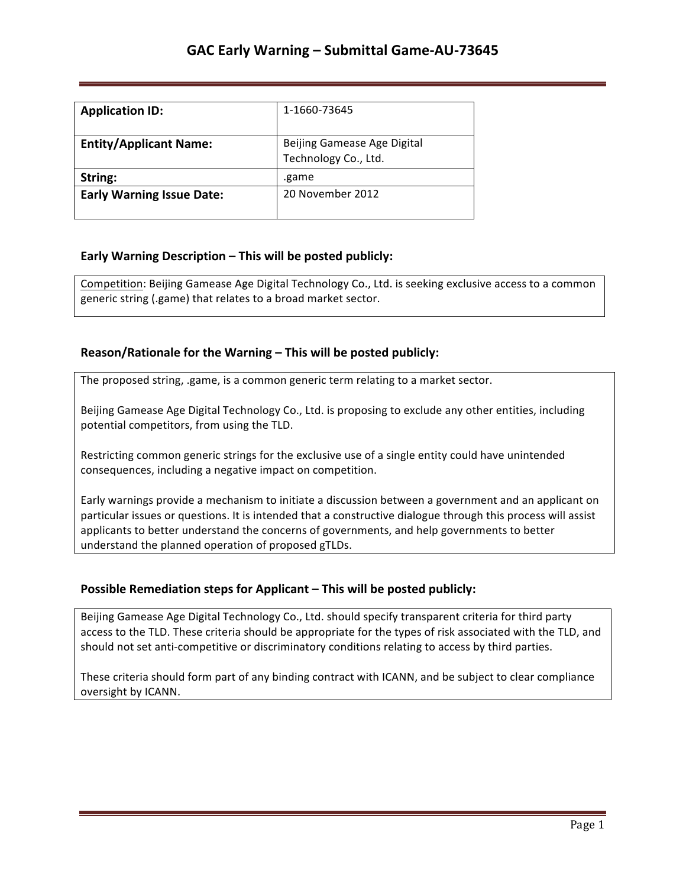| <b>Application ID:</b>           | 1-1660-73645                                        |
|----------------------------------|-----------------------------------------------------|
| <b>Entity/Applicant Name:</b>    | Beijing Gamease Age Digital<br>Technology Co., Ltd. |
| String:                          | .game                                               |
| <b>Early Warning Issue Date:</b> | 20 November 2012                                    |

## **Early Warning Description – This will be posted publicly:**

Competition: Beijing Gamease Age Digital Technology Co., Ltd. is seeking exclusive access to a common generic string (.game) that relates to a broad market sector.

### **Reason/Rationale for the Warning – This will be posted publicly:**

The proposed string, .game, is a common generic term relating to a market sector.

Beijing Gamease Age Digital Technology Co., Ltd. is proposing to exclude any other entities, including potential competitors, from using the TLD.

Restricting common generic strings for the exclusive use of a single entity could have unintended consequences, including a negative impact on competition.

Early warnings provide a mechanism to initiate a discussion between a government and an applicant on particular issues or questions. It is intended that a constructive dialogue through this process will assist applicants to better understand the concerns of governments, and help governments to better understand the planned operation of proposed gTLDs.

### **Possible Remediation steps for Applicant – This will be posted publicly:**

Beijing Gamease Age Digital Technology Co., Ltd. should specify transparent criteria for third party access to the TLD. These criteria should be appropriate for the types of risk associated with the TLD, and should not set anti-competitive or discriminatory conditions relating to access by third parties.

These criteria should form part of any binding contract with ICANN, and be subject to clear compliance oversight by ICANN.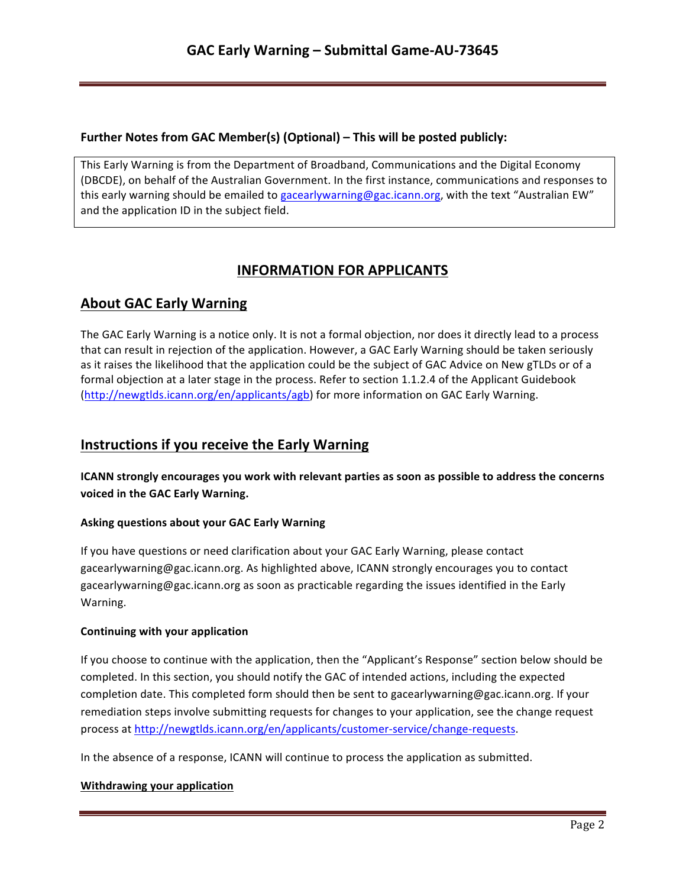### **Further Notes from GAC Member(s) (Optional) – This will be posted publicly:**

This Early Warning is from the Department of Broadband, Communications and the Digital Economy (DBCDE), on behalf of the Australian Government. In the first instance, communications and responses to this early warning should be emailed to gacearlywarning@gac.icann.org, with the text "Australian EW" and the application ID in the subject field.

# **INFORMATION FOR APPLICANTS**

# **About GAC Early Warning**

The GAC Early Warning is a notice only. It is not a formal objection, nor does it directly lead to a process that can result in rejection of the application. However, a GAC Early Warning should be taken seriously as it raises the likelihood that the application could be the subject of GAC Advice on New gTLDs or of a formal objection at a later stage in the process. Refer to section 1.1.2.4 of the Applicant Guidebook (http://newgtlds.icann.org/en/applicants/agb) for more information on GAC Early Warning.

# **Instructions if you receive the Early Warning**

**ICANN** strongly encourages you work with relevant parties as soon as possible to address the concerns voiced in the GAC Early Warning.

#### **Asking questions about your GAC Early Warning**

If you have questions or need clarification about your GAC Early Warning, please contact gacearlywarning@gac.icann.org. As highlighted above, ICANN strongly encourages you to contact gacearlywarning@gac.icann.org as soon as practicable regarding the issues identified in the Early Warning. 

#### **Continuing with your application**

If you choose to continue with the application, then the "Applicant's Response" section below should be completed. In this section, you should notify the GAC of intended actions, including the expected completion date. This completed form should then be sent to gacearlywarning@gac.icann.org. If your remediation steps involve submitting requests for changes to your application, see the change request process at http://newgtlds.icann.org/en/applicants/customer-service/change-requests.

In the absence of a response, ICANN will continue to process the application as submitted.

#### **Withdrawing your application**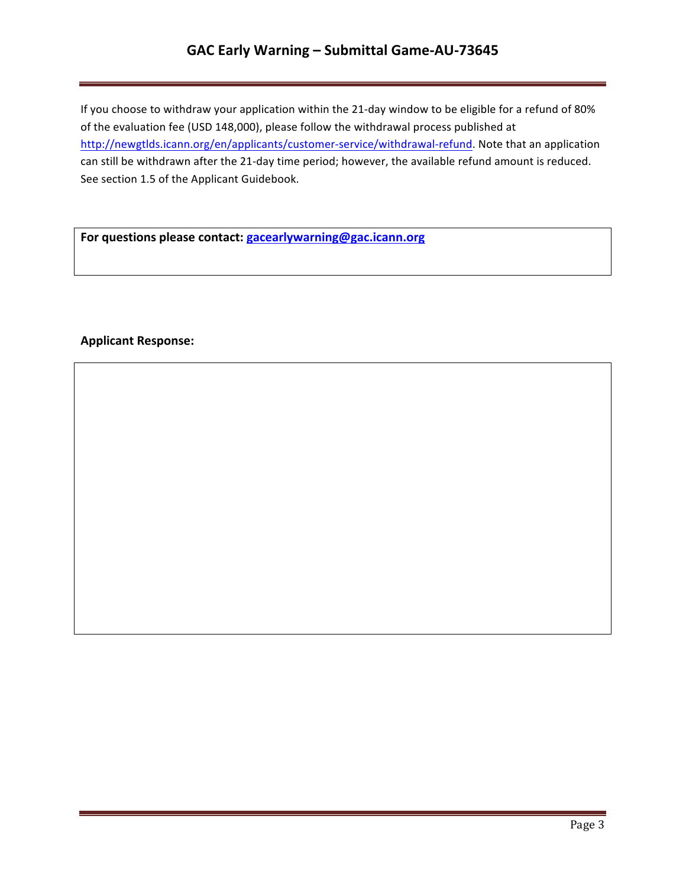# **GAC Early Warning – Submittal Game-AU-73645**

If you choose to withdraw your application within the 21-day window to be eligible for a refund of 80% of the evaluation fee (USD 148,000), please follow the withdrawal process published at http://newgtlds.icann.org/en/applicants/customer-service/withdrawal-refund. Note that an application can still be withdrawn after the 21-day time period; however, the available refund amount is reduced. See section 1.5 of the Applicant Guidebook.

For questions please contact: **gacearlywarning@gac.icann.org** 

### **Applicant Response:**